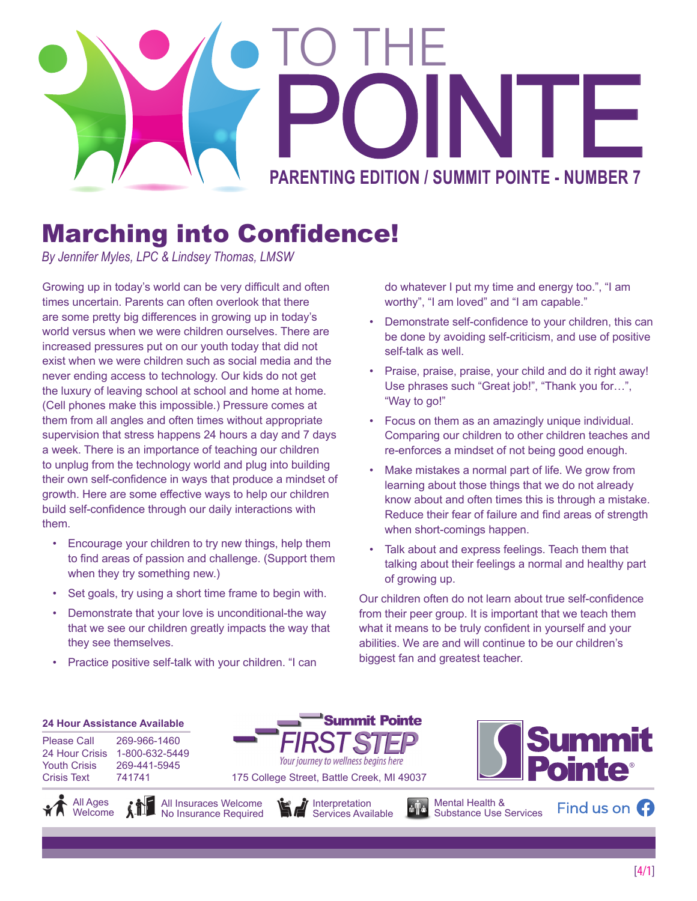

## Marching into Confidence!

*By Jennifer Myles, LPC & Lindsey Thomas, LMSW*

Growing up in today's world can be very difficult and often times uncertain. Parents can often overlook that there are some pretty big differences in growing up in today's world versus when we were children ourselves. There are increased pressures put on our youth today that did not exist when we were children such as social media and the never ending access to technology. Our kids do not get the luxury of leaving school at school and home at home. (Cell phones make this impossible.) Pressure comes at them from all angles and often times without appropriate supervision that stress happens 24 hours a day and 7 days a week. There is an importance of teaching our children to unplug from the technology world and plug into building their own self-confidence in ways that produce a mindset of growth. Here are some effective ways to help our children build self-confidence through our daily interactions with them.

- Encourage your children to try new things, help them to find areas of passion and challenge. (Support them when they try something new.)
- Set goals, try using a short time frame to begin with.
- Demonstrate that your love is unconditional-the way that we see our children greatly impacts the way that they see themselves.
- Practice positive self-talk with your children. "I can

do whatever I put my time and energy too.", "I am worthy", "I am loved" and "I am capable."

- Demonstrate self-confidence to your children, this can be done by avoiding self-criticism, and use of positive self-talk as well.
- Praise, praise, praise, your child and do it right away! Use phrases such "Great job!", "Thank you for…", "Way to go!"
- Focus on them as an amazingly unique individual. Comparing our children to other children teaches and re-enforces a mindset of not being good enough.
- Make mistakes a normal part of life. We grow from learning about those things that we do not already know about and often times this is through a mistake. Reduce their fear of failure and find areas of strength when short-comings happen.
- Talk about and express feelings. Teach them that talking about their feelings a normal and healthy part of growing up.

Our children often do not learn about true self-confidence from their peer group. It is important that we teach them what it means to be truly confident in yourself and your abilities. We are and will continue to be our children's biggest fan and greatest teacher.

#### **24 Hour Assistance Available**

Please Call 269-966-1460 24 Hour Crisis 1-800-632-5449 Youth Crisis 269-441-5945 Crisis Text 741741







**Summit Pointe** 

Your journey to wellness begins here



Find us on  $\Omega$ 

Mental Health & Substance Use Services